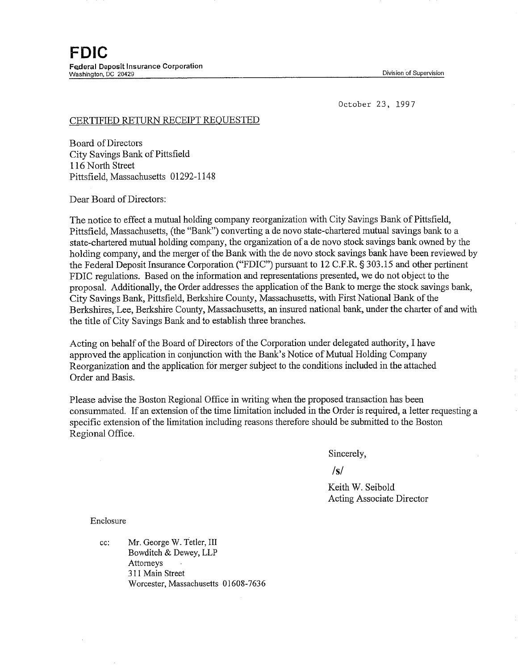October 23, 1997

## CERTIFIED RETURN RECEIPT REQUESTED

Board of Directors City Savings Bank of Pittsfield 116 North Street Pittsfield, Massachusetts 01292-1148

Dear Board of Directors:

The notice to effect a mutual holding connpany reorganization with City Savings Bank of Pittsfield, Pittsfield, Massachusetts, (the "Bank") converting a de novo state-chartered mutual savings bank to a state-chartered mutual holding company, the organization of a de novo stock savings bank owned by the holding company, and the merger of the Bank with the de novo stock savings bank have been reviewed by the Federal Deposit Insurance Corporation ("FDIC") pursuant to 12 C.F.R. § 303.15 and other pertinent FDIC regulations. Based on the information and representations presented, we do not object to the proposal. Additionally, the Order addresses the application of the Bank to merge the stock savings bank, City Savings Bank, Pittsfield, Berkshire County, Massachusetts, with First National Bank of the Berkshires, Lee, Berkshire County, Massachusetts, an insured national bank, under the charter of and with the title of City Savings Bank and to establish three branches.

Acting on behalf of the Board of Directors of the Corporation under delegated authority, I have approved the application in conjunction with the Bank's Notice of Mutual Holding Company Reorganization and the application for merger subject to the conditions included in the attached Order and Basis.

Please advise the Boston Regional Office in writing when the proposed transaction has been consummated. If an extension of the time limitation included in the Order is required, a letter requesting a specific extension of the limitation including reasons therefore should be submitted to the Boston Regional Office.

Sincerely,

**/s/**

Keith W. Seibold Acting Associate Director

Enclosure

cc: Mr. George W. Tetler, III Bowditch & Dewey, LLP Attorneys 311 Main Street Worcester, Massachusetts 01608-7636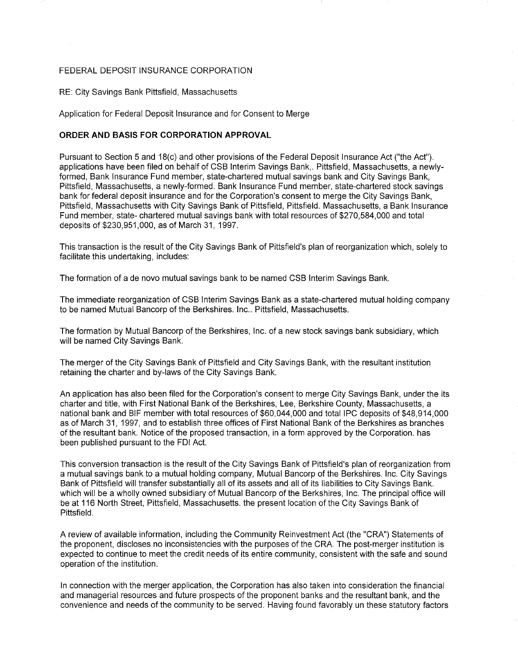## FEDERAL DEPOSIT INSURANCE CORPORATION

## RE: City Savings Bank Pittsfield, Massachusetts

Application for Federal Deposit Insurance and for Consent to Merge

## **ORDER AND BASIS FOR CORPORATION APPROVAL**

Pursuant to Section 5 and 18(c) and other provisions of the Federal Deposit Insurance Act ("the Act"). applications have been filed on behalf of CSB Interim Savings Bank,. Pittsfield, Massachusetts, a newlyformed, Bank Insurance Fund member, state-chartered mutual savings bank and City Savings Bank, Pittsfield, Massachusetts, a newly-formed. Bank Insurance Fund member, state-chartered stock savings bank for federal deposit insurance and for the Corporation's consent to merge the City Savings Bank, Pittsfield, Massachusetts with City Savings Bank of Pittsfield, Pittsfield. Massachusetts, a Bank Insurance Fund member, state- chartered mutual savings bank with total resources of \$270,584,000 and total deposits of \$230,951,000, as of March 31, 1997.

This transaction is the result of the City Savings Bank of Pittsfield's plan of reorganization which, solely to facilitate this undertaking, includes:

The formation of a de novo mutual savings bank to be named CSB Interim Savings Bank.

The immediate reorganization of CSB Interim Savings Bank as a state-chartered mutual holding company to be named Mutual Bancorp of the Berkshires. Inc.. Pittsfield, Massachusetts.

The formation by Mutual Bancorp of the Berkshires, Inc. of a new stock savings bank subsidiary, which will be named City Savings Bank.

The merger of the City Savings Bank of Pittsfield and City Savings Bank, with the resultant institution retaining the charter and by-laws of the City Savings Bank.

An application has also been filed for the Corporation's consent to merge City Savings Bank, under the its charter and title, with First National Bank of the Berkshires, Lee, Berkshire County, Massachusetts, a national bank and BIF member with total resources of \$60,044,000 and total IPC deposits of \$48,914,000 as of March 31, 1997, and to establish three offices of First National Bank of the Berkshires as branches of the resultant bank. Notice of the proposed transaction, in a form approved by the Corporation. has been published pursuant to the FDI Act.

This conversion transaction is the result of the City Savings Bank of Pittsfield's plan of reorganization from a mutual savings bank to a mutual holding company, Mutual Bancorp of the Berkshires. Inc. City Savings Bank of Pittsfield will transfer substantially all of its assets and all of its liabilities to City Savings Bank. which will be a wholly owned subsidiary of Mutual Bancorp of the Berkshires, Inc. The principal office will be at 116 North Street, Pittsfield, Massachusetts. the present location of the City Savings Bank of Pittsfield.

A review of available information, including the Community Reinvestment Act (the "CRA") Statements of the proponent, discloses no inconsistencies with the purposes of the CRA. The post-merger institution is expected to continue to meet the credit needs of its entire community, consistent with the safe and sound operation of the institution.

In connection with the merger application, the Corporation has also taken into consideration the financial and managerial resources and future prospects of the proponent banks and the resultant bank, and the convenience and needs of the community to be served. Having found favorably un these statutory factors